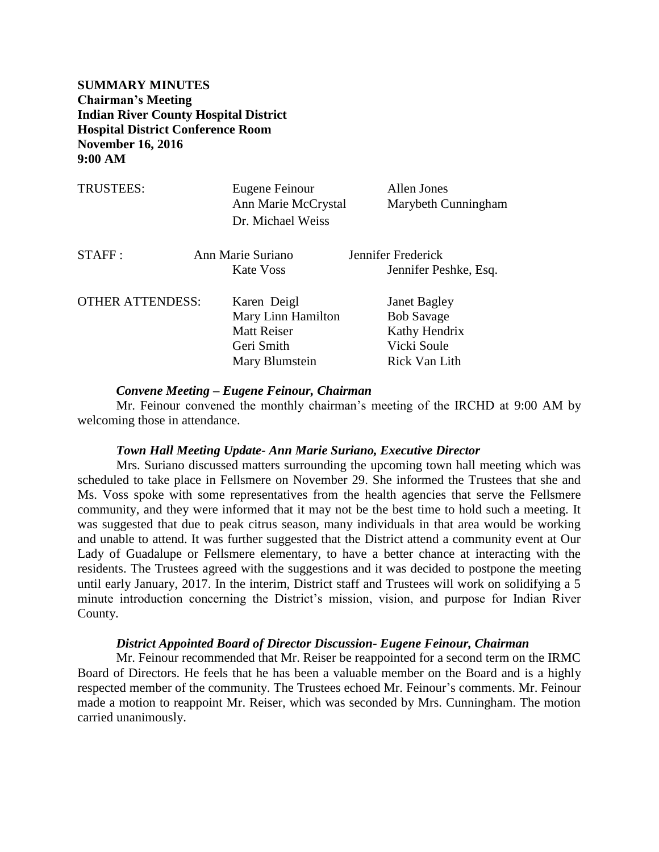**SUMMARY MINUTES Chairman's Meeting Indian River County Hospital District Hospital District Conference Room November 16, 2016 9:00 AM**

| <b>TRUSTEES:</b>        | Eugene Feinour<br>Ann Marie McCrystal<br>Dr. Michael Weiss | <b>Allen Jones</b><br>Marybeth Cunningham |
|-------------------------|------------------------------------------------------------|-------------------------------------------|
| STAFF:                  | Ann Marie Suriano                                          | Jennifer Frederick                        |
|                         | Kate Voss                                                  | Jennifer Peshke, Esq.                     |
| <b>OTHER ATTENDESS:</b> | Karen Deigl                                                | <b>Janet Bagley</b>                       |
|                         | Mary Linn Hamilton                                         | <b>Bob Savage</b>                         |
|                         | <b>Matt Reiser</b>                                         | Kathy Hendrix                             |
|                         | Geri Smith                                                 | Vicki Soule                               |
|                         | Mary Blumstein                                             | Rick Van Lith                             |

#### *Convene Meeting – Eugene Feinour, Chairman*

Mr. Feinour convened the monthly chairman's meeting of the IRCHD at 9:00 AM by welcoming those in attendance.

#### *Town Hall Meeting Update- Ann Marie Suriano, Executive Director*

Mrs. Suriano discussed matters surrounding the upcoming town hall meeting which was scheduled to take place in Fellsmere on November 29. She informed the Trustees that she and Ms. Voss spoke with some representatives from the health agencies that serve the Fellsmere community, and they were informed that it may not be the best time to hold such a meeting. It was suggested that due to peak citrus season, many individuals in that area would be working and unable to attend. It was further suggested that the District attend a community event at Our Lady of Guadalupe or Fellsmere elementary, to have a better chance at interacting with the residents. The Trustees agreed with the suggestions and it was decided to postpone the meeting until early January, 2017. In the interim, District staff and Trustees will work on solidifying a 5 minute introduction concerning the District's mission, vision, and purpose for Indian River County.

#### *District Appointed Board of Director Discussion- Eugene Feinour, Chairman*

Mr. Feinour recommended that Mr. Reiser be reappointed for a second term on the IRMC Board of Directors. He feels that he has been a valuable member on the Board and is a highly respected member of the community. The Trustees echoed Mr. Feinour's comments. Mr. Feinour made a motion to reappoint Mr. Reiser, which was seconded by Mrs. Cunningham. The motion carried unanimously.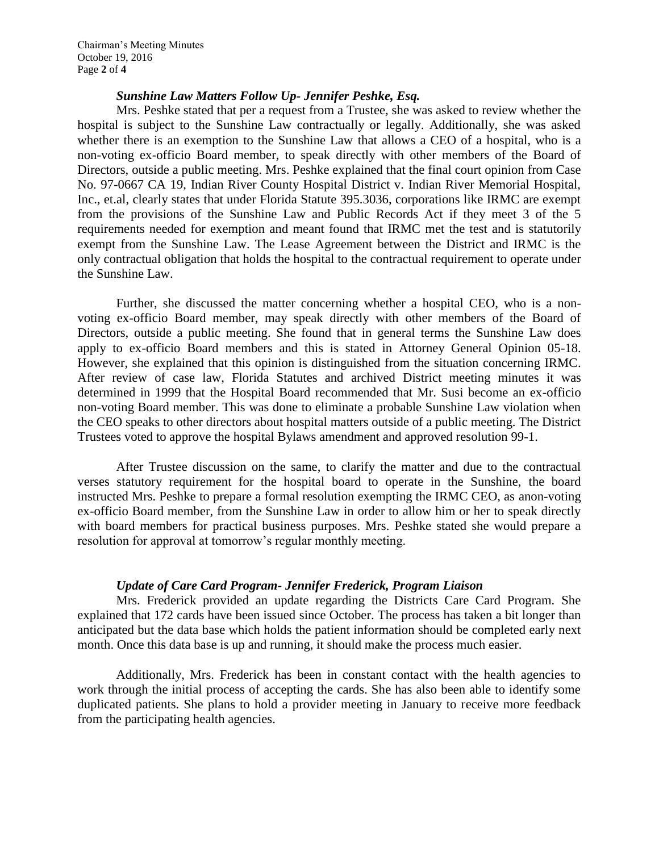## *Sunshine Law Matters Follow Up- Jennifer Peshke, Esq.*

Mrs. Peshke stated that per a request from a Trustee, she was asked to review whether the hospital is subject to the Sunshine Law contractually or legally. Additionally, she was asked whether there is an exemption to the Sunshine Law that allows a CEO of a hospital, who is a non-voting ex-officio Board member, to speak directly with other members of the Board of Directors, outside a public meeting. Mrs. Peshke explained that the final court opinion from Case No. 97-0667 CA 19, Indian River County Hospital District v. Indian River Memorial Hospital, Inc., et.al, clearly states that under Florida Statute 395.3036, corporations like IRMC are exempt from the provisions of the Sunshine Law and Public Records Act if they meet 3 of the 5 requirements needed for exemption and meant found that IRMC met the test and is statutorily exempt from the Sunshine Law. The Lease Agreement between the District and IRMC is the only contractual obligation that holds the hospital to the contractual requirement to operate under the Sunshine Law.

Further, she discussed the matter concerning whether a hospital CEO, who is a nonvoting ex-officio Board member, may speak directly with other members of the Board of Directors, outside a public meeting. She found that in general terms the Sunshine Law does apply to ex-officio Board members and this is stated in Attorney General Opinion 05-18. However, she explained that this opinion is distinguished from the situation concerning IRMC. After review of case law, Florida Statutes and archived District meeting minutes it was determined in 1999 that the Hospital Board recommended that Mr. Susi become an ex-officio non-voting Board member. This was done to eliminate a probable Sunshine Law violation when the CEO speaks to other directors about hospital matters outside of a public meeting. The District Trustees voted to approve the hospital Bylaws amendment and approved resolution 99-1.

After Trustee discussion on the same, to clarify the matter and due to the contractual verses statutory requirement for the hospital board to operate in the Sunshine, the board instructed Mrs. Peshke to prepare a formal resolution exempting the IRMC CEO, as anon-voting ex-officio Board member, from the Sunshine Law in order to allow him or her to speak directly with board members for practical business purposes. Mrs. Peshke stated she would prepare a resolution for approval at tomorrow's regular monthly meeting.

## *Update of Care Card Program- Jennifer Frederick, Program Liaison*

Mrs. Frederick provided an update regarding the Districts Care Card Program. She explained that 172 cards have been issued since October. The process has taken a bit longer than anticipated but the data base which holds the patient information should be completed early next month. Once this data base is up and running, it should make the process much easier.

Additionally, Mrs. Frederick has been in constant contact with the health agencies to work through the initial process of accepting the cards. She has also been able to identify some duplicated patients. She plans to hold a provider meeting in January to receive more feedback from the participating health agencies.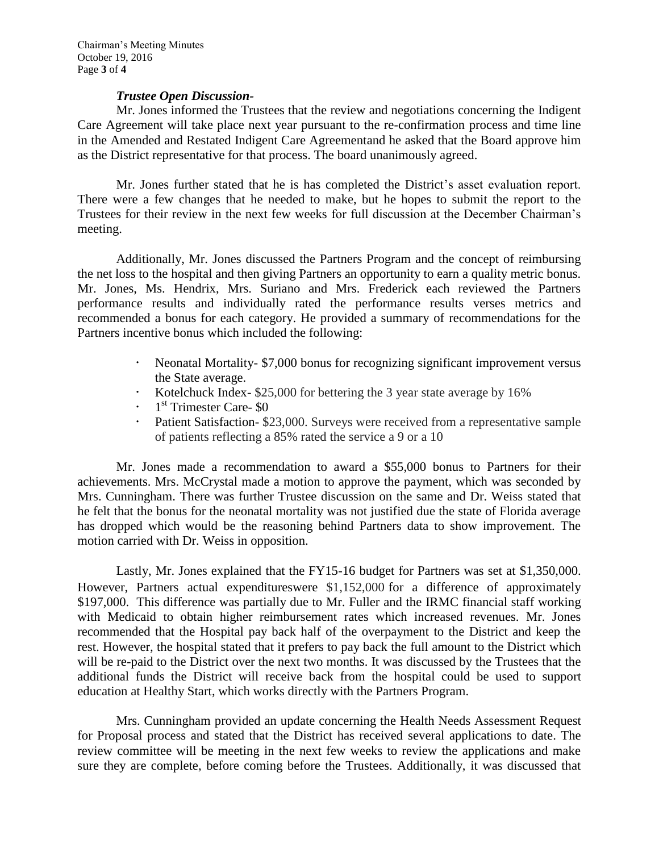## *Trustee Open Discussion-*

Mr. Jones informed the Trustees that the review and negotiations concerning the Indigent Care Agreement will take place next year pursuant to the re-confirmation process and time line in the Amended and Restated Indigent Care Agreementand he asked that the Board approve him as the District representative for that process. The board unanimously agreed.

Mr. Jones further stated that he is has completed the District's asset evaluation report. There were a few changes that he needed to make, but he hopes to submit the report to the Trustees for their review in the next few weeks for full discussion at the December Chairman's meeting.

Additionally, Mr. Jones discussed the Partners Program and the concept of reimbursing the net loss to the hospital and then giving Partners an opportunity to earn a quality metric bonus. Mr. Jones, Ms. Hendrix, Mrs. Suriano and Mrs. Frederick each reviewed the Partners performance results and individually rated the performance results verses metrics and recommended a bonus for each category. He provided a summary of recommendations for the Partners incentive bonus which included the following:

- Neonatal Mortality- \$7,000 bonus for recognizing significant improvement versus the State average.
- Kotelchuck Index- \$25,000 for bettering the 3 year state average by 16%
- · 1<sup>st</sup> Trimester Care- \$0
- Patient Satisfaction- \$23,000. Surveys were received from a representative sample of patients reflecting a 85% rated the service a 9 or a 10

Mr. Jones made a recommendation to award a \$55,000 bonus to Partners for their achievements. Mrs. McCrystal made a motion to approve the payment, which was seconded by Mrs. Cunningham. There was further Trustee discussion on the same and Dr. Weiss stated that he felt that the bonus for the neonatal mortality was not justified due the state of Florida average has dropped which would be the reasoning behind Partners data to show improvement. The motion carried with Dr. Weiss in opposition.

Lastly, Mr. Jones explained that the FY15-16 budget for Partners was set at \$1,350,000. However, Partners actual expenditureswere \$1,152,000 for a difference of approximately \$197,000. This difference was partially due to Mr. Fuller and the IRMC financial staff working with Medicaid to obtain higher reimbursement rates which increased revenues. Mr. Jones recommended that the Hospital pay back half of the overpayment to the District and keep the rest. However, the hospital stated that it prefers to pay back the full amount to the District which will be re-paid to the District over the next two months. It was discussed by the Trustees that the additional funds the District will receive back from the hospital could be used to support education at Healthy Start, which works directly with the Partners Program.

Mrs. Cunningham provided an update concerning the Health Needs Assessment Request for Proposal process and stated that the District has received several applications to date. The review committee will be meeting in the next few weeks to review the applications and make sure they are complete, before coming before the Trustees. Additionally, it was discussed that